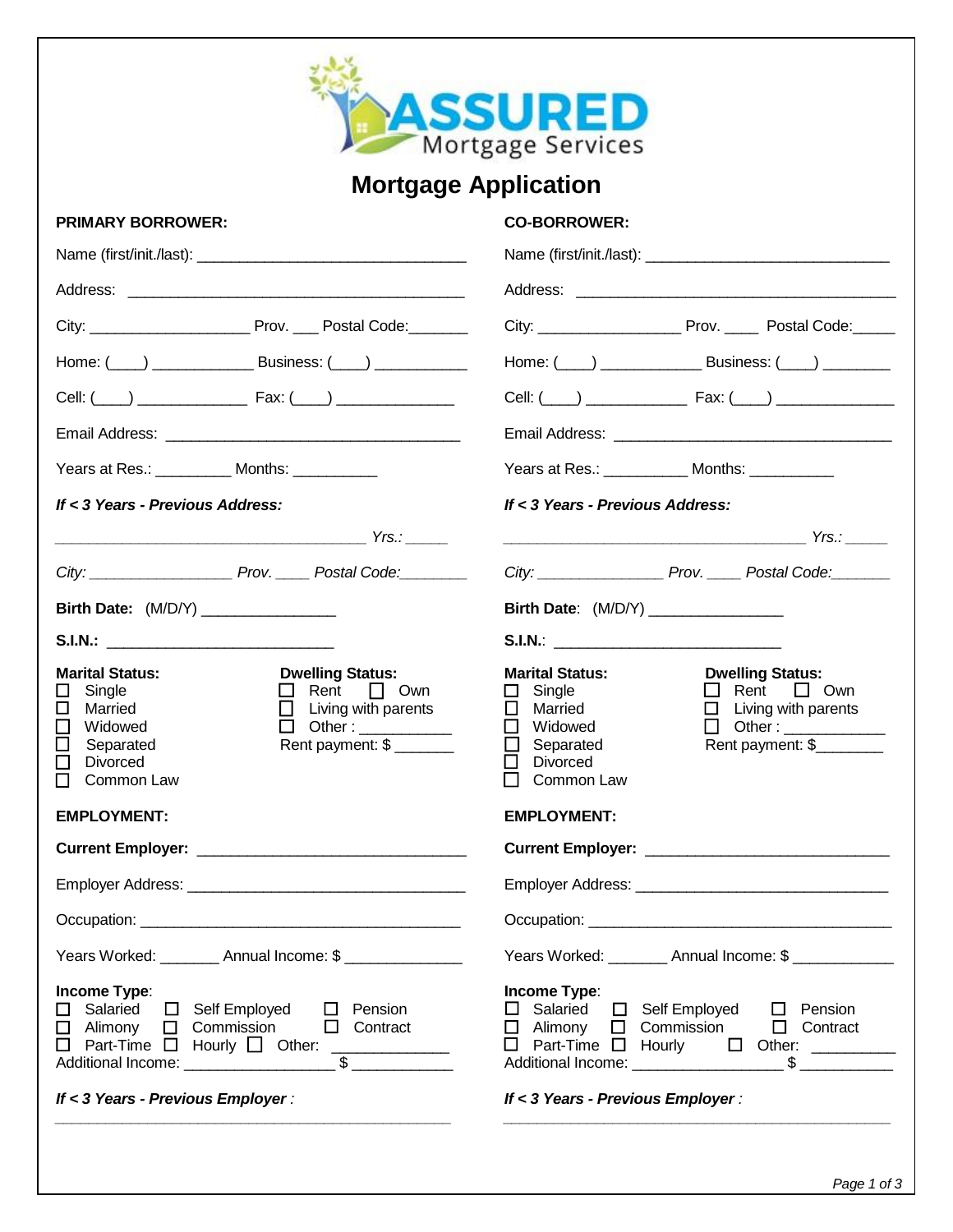

## **Mortgage Application**

## **PRIMARY BORROWER: CO-BORROWER:**

| Years at Res.: ____________ Months: ___________                                                                                                                                                                                                  | Years at Res.: _____________ Months: ___________                                                                                                                                                                                                                    |  |  |
|--------------------------------------------------------------------------------------------------------------------------------------------------------------------------------------------------------------------------------------------------|---------------------------------------------------------------------------------------------------------------------------------------------------------------------------------------------------------------------------------------------------------------------|--|--|
| If < 3 Years - Previous Address:                                                                                                                                                                                                                 | If < 3 Years - Previous Address:                                                                                                                                                                                                                                    |  |  |
|                                                                                                                                                                                                                                                  |                                                                                                                                                                                                                                                                     |  |  |
| City: City: City: City: City:                                                                                                                                                                                                                    | City: City: Prov. Postal Code:                                                                                                                                                                                                                                      |  |  |
| Birth Date: (M/D/Y) _______________                                                                                                                                                                                                              | Birth Date: (M/D/Y) ________________                                                                                                                                                                                                                                |  |  |
|                                                                                                                                                                                                                                                  |                                                                                                                                                                                                                                                                     |  |  |
| <b>Marital Status:</b><br><b>Dwelling Status:</b><br>$\Box$ Rent $\Box$ Own<br>Single<br>ப<br>$\Box$ Living with parents<br>□<br>Married<br>Widowed<br>$\Box$ Other: ___________<br>Rent payment: \$<br>Separated<br>⊔<br>Divorced<br>Common Law | <b>Dwelling Status:</b><br><b>Marital Status:</b><br>$\Box$ Rent $\Box$ Own<br>$\Box$ Single<br>$\Box$ Married<br>$\Box$ Living with parents<br>□ Widowed<br>$\Box$ Other : $\_\_\_\_\_\_\_\_\_\_\_\_\_$<br>Separated<br>Rent payment: \$<br>Divorced<br>Common Law |  |  |
| <b>EMPLOYMENT:</b>                                                                                                                                                                                                                               | <b>EMPLOYMENT:</b>                                                                                                                                                                                                                                                  |  |  |
|                                                                                                                                                                                                                                                  |                                                                                                                                                                                                                                                                     |  |  |
|                                                                                                                                                                                                                                                  |                                                                                                                                                                                                                                                                     |  |  |
|                                                                                                                                                                                                                                                  |                                                                                                                                                                                                                                                                     |  |  |
| Years Worked: _________ Annual Income: \$ ______________                                                                                                                                                                                         | Years Worked: ________ Annual Income: \$ ____________                                                                                                                                                                                                               |  |  |
| Income Type:<br>□ Salaried<br>□ Self Employed<br>$\Box$ Pension<br>$\Box$ Commission<br>$\Box$ Alimony<br>$\Box$ Contract<br>$\Box$ Part-Time $\Box$ Hourly $\Box$ Other: ____________<br>If < 3 Years - Previous Employer :                     | Income Type:<br>□ Salaried □ Self Employed □ Pension<br>$\Box$ Alimony $\Box$ Commission $\Box$ Contract<br>□ Part-Time □ Hourly □ Other: ________<br>If < 3 Years - Previous Employer :                                                                            |  |  |
|                                                                                                                                                                                                                                                  |                                                                                                                                                                                                                                                                     |  |  |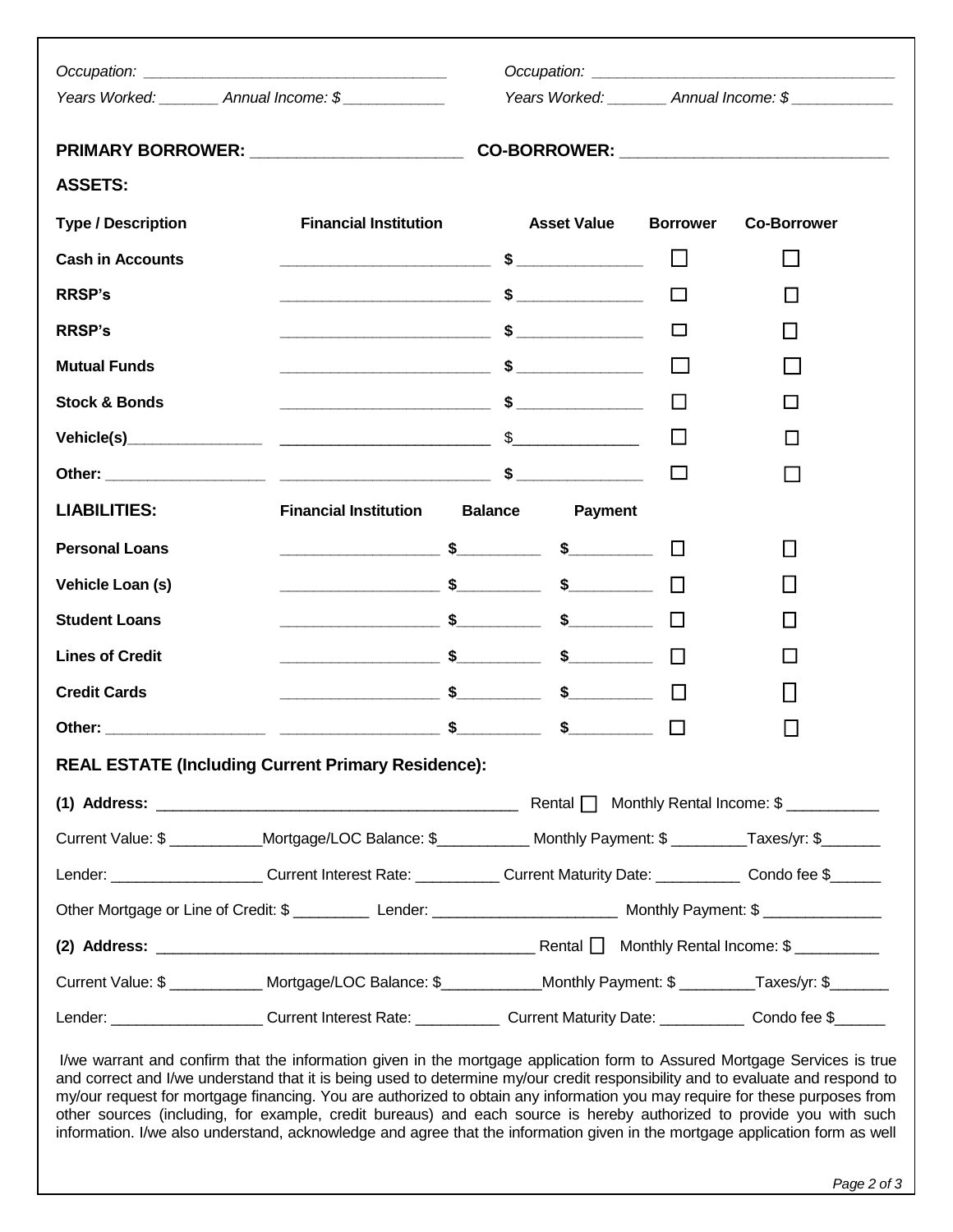|                                                           | Years Worked: ________ Annual Income: \$                                                                                                                                                                                                |                                  |                 | Years Worked: ________ Annual Income: \$ |  |
|-----------------------------------------------------------|-----------------------------------------------------------------------------------------------------------------------------------------------------------------------------------------------------------------------------------------|----------------------------------|-----------------|------------------------------------------|--|
|                                                           |                                                                                                                                                                                                                                         |                                  |                 |                                          |  |
| <b>ASSETS:</b>                                            |                                                                                                                                                                                                                                         |                                  |                 |                                          |  |
| <b>Type / Description</b>                                 | <b>Financial Institution</b>                                                                                                                                                                                                            | <b>Asset Value</b>               | <b>Borrower</b> | <b>Co-Borrower</b>                       |  |
| <b>Cash in Accounts</b>                                   |                                                                                                                                                                                                                                         |                                  | $\mathbf{L}$    | $\Box$                                   |  |
| <b>RRSP's</b>                                             | $\overbrace{\hspace{2.5cm}}$ $\overbrace{\hspace{2.5cm}}$ $\overbrace{\hspace{2.5cm}}$ $\overbrace{\hspace{2.5cm}}$ $\overbrace{\hspace{2.5cm}}$ $\overbrace{\hspace{2.5cm}}$ $\overbrace{\hspace{2.5cm}}$ $\overbrace{\hspace{2.5cm}}$ |                                  | $\mathbf{L}$    | $\Box$                                   |  |
| <b>RRSP's</b>                                             |                                                                                                                                                                                                                                         |                                  | $\sim$          | $\mathsf{L}$                             |  |
| <b>Mutual Funds</b>                                       | $\overbrace{\hspace{2.5cm}}$ $\overbrace{\hspace{2.5cm}}$ $\overbrace{\hspace{2.5cm}}$ $\overbrace{\hspace{2.5cm}}$                                                                                                                     |                                  |                 |                                          |  |
| <b>Stock &amp; Bonds</b>                                  |                                                                                                                                                                                                                                         |                                  |                 | □                                        |  |
|                                                           |                                                                                                                                                                                                                                         |                                  |                 | $\Box$                                   |  |
|                                                           |                                                                                                                                                                                                                                         |                                  |                 |                                          |  |
| <b>LIABILITIES:</b>                                       | <b>Financial Institution</b>                                                                                                                                                                                                            | <b>Balance</b><br><b>Payment</b> |                 |                                          |  |
| <b>Personal Loans</b>                                     |                                                                                                                                                                                                                                         |                                  | $\mathcal{L}$   | $\mathsf{L}$                             |  |
| Vehicle Loan (s)                                          |                                                                                                                                                                                                                                         |                                  |                 |                                          |  |
| <b>Student Loans</b>                                      |                                                                                                                                                                                                                                         |                                  |                 | $\mathsf{L}$                             |  |
| <b>Lines of Credit</b>                                    |                                                                                                                                                                                                                                         |                                  |                 |                                          |  |
| <b>Credit Cards</b>                                       |                                                                                                                                                                                                                                         |                                  |                 |                                          |  |
| Other:                                                    |                                                                                                                                                                                                                                         | $\sim$ \$ \$                     | $\Box$          | $\Box$                                   |  |
| <b>REAL ESTATE (Including Current Primary Residence):</b> |                                                                                                                                                                                                                                         |                                  |                 |                                          |  |
|                                                           |                                                                                                                                                                                                                                         |                                  |                 |                                          |  |
|                                                           | Current Value: \$ ____________Mortgage/LOC Balance: \$____________ Monthly Payment: \$ ________Taxes/yr: \$_______                                                                                                                      |                                  |                 |                                          |  |
|                                                           | Lender: ______________________Current Interest Rate: ____________Current Maturity Date: ____________ Condo fee \$______                                                                                                                 |                                  |                 |                                          |  |
|                                                           |                                                                                                                                                                                                                                         |                                  |                 |                                          |  |
|                                                           |                                                                                                                                                                                                                                         |                                  |                 |                                          |  |
|                                                           | Current Value: \$ ____________ Mortgage/LOC Balance: \$ ____________Monthly Payment: \$ ________Taxes/yr: \$                                                                                                                            |                                  |                 |                                          |  |
|                                                           | Lender: ______________________Current Interest Rate: ____________Current Maturity Date: ____________ Condo fee \$______                                                                                                                 |                                  |                 |                                          |  |

I/we warrant and confirm that the information given in the mortgage application form to Assured Mortgage Services is true and correct and I/we understand that it is being used to determine my/our credit responsibility and to evaluate and respond to my/our request for mortgage financing. You are authorized to obtain any information you may require for these purposes from other sources (including, for example, credit bureaus) and each source is hereby authorized to provide you with such information. I/we also understand, acknowledge and agree that the information given in the mortgage application form as well